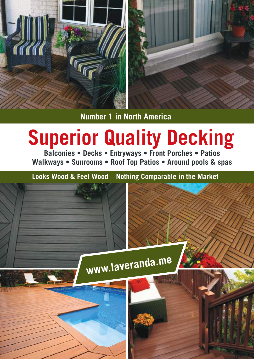

**Number 1 in North America**

# **Superior Quality Decking**

**Balconies • Decks • Entryways • Front Porches • Patios Walkways • Sunrooms • Roof Top Patios • Around pools & spas**

**Looks Wood & Feel Wood – Nothing Comparable in the Market**

**www.laveranda.me**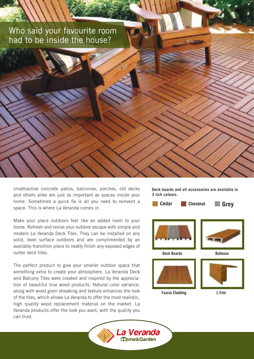### Who said your favourite room had to be inside the house?



Make your place outdoors feel like an added room to your home. Refresh and revive your outdoor escape with simple and modern La Veranda Deck Tiles. They can be installed on any solid, level surface outdoors and are complimented by an available transition piece to neatly finish any exposed edges of outter deck tiles.

The perfect product to give your smaller outdoor space that something extra to create your atmosphere. La Veranda Deck and Balcony Tiles were created and inspired by the appreciation of beautiful true wood products. Natural color variance, along with wood grain streaking and texture enhances the look of the tiles, which allows La Veranda to offer the most realistic, high quality wood replacement material on the market. La Veranda products offer the look you want, with the quality you can trust

**Deck boards and all accessories are available in 3 rich colours.**





Deck Boards Bullnose



Fascia Cladding Letter Letter







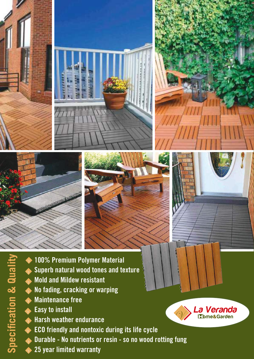





- 100% Premium Polymer Material
- Superb natural wood tones and texture
- Mold and Mildew resistant
- No fading, cracking or warping
- Maintenance free
- Easy to install

**Specification & Quality**

**Specification & Quality** 

- Harsh weather endurance
- ECO friendly and nontoxic during its life cycle
- Durable No nutrients or resin so no wood rotting fung
- 25 year limited warranty

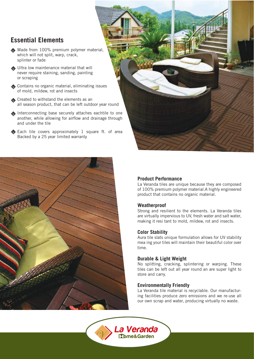### **Essential Elements**

- Made from 100% premium polymer material, which will not split, warp, crack, splinter or fade
- Ultra low maintenance material that will never require staining, sanding, painting or scraping
- Contains no organic material, eliminating issues of mold, mildew, rot and insects
- Created to withstand the elements as an all season product, that can be left outdoor year round
- Interconnecting base securely attaches eachtile to one another, while allowing for airflow and drainage through and under the tile
- Each tile covers approximately 1 square ft. of area Backed by a 25 year limited warranty





### **Product Performance**

La Veranda tiles are unique because they are composed of 100% premium polymer material.A highly engineered product that contains no organic material.

### **Weatherproof**

Strong and resilient to the elements. La Veranda tiles are virtually impervious to UV, fresh water and salt water, making it resi tant to mold, mildew, rot and insects.

### **Color Stability**

Aura tile slats unique formulation allows for UV stability mea ing your tiles will maintain their beautiful color over time.

### **Durable & Light Weight**

No splitting, cracking, splintering or warping. These tiles can be left out all year round an are super light to store and carry.

### **Environmentally Friendly**

La Veranda tile material is recyclable. Our manufacturing facilities produce zero emissions and we re-use all our own scrap and water, producing virtually no waste.

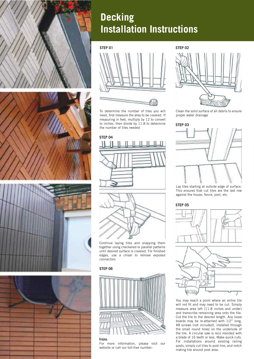







# **Decking Installation Instructions**

**STEP 01 STEP 02**



To determine the number of tiles you will need, first measure the area to be covered. If measuring in feet, multiply by 12 to convert to inches, then divide by 11.8 to determine the number of tiles needed





Continue laying tiles and snapping them together using checkered or parallel patterns until desired surface is covered. For finished edges, use a chisel to remove exposed connectors

### **STEP 06**



#### **Enjoy.**

For more information, please visit our website or call our toll-free number:



Clean the solid surface of all debris to ensure proper water drainage

### **STEP 03**



Lay tiles starting at outside edge of surface. This ensures that cut tiles are the last row against the house, fence, pool, etc.

#### **STEP 05**



You may reach a point where an entire tile will not fit and may need to be cut. Simply measure area left (11.8 inches and under) and transcribe remaining area onto the tile. Cut the tile to the desired length. Any loose boards may be re-attached with 1/2" long, #8 screws (not included), installed through the small round holes on the underside of the tile. A circular saw is reco mended with a blade of 16 teeth or less. Make quick cuts. For installations around existing railing posts, simply cut tiles to post line, and notch mating tile around post area.